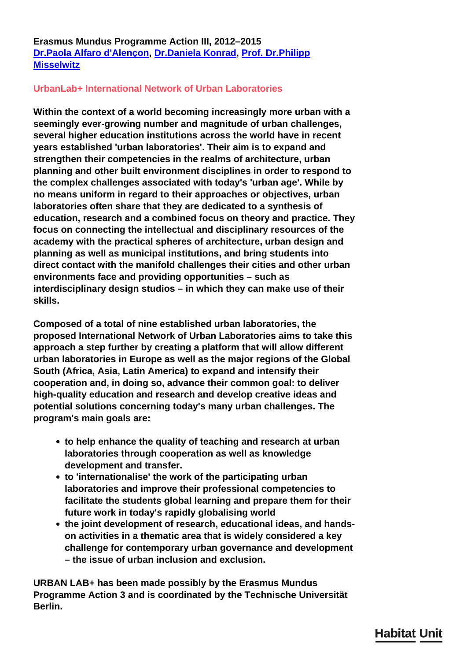## **Erasmus Mundus Programme Action III, 2012–2015 [Dr.Paola Alfaro d'Alençon](/en/team/paola-alfaro-dalenon/), [Dr.Daniela Konrad](/en/team/daniela-konrad/), [Prof. Dr.Philipp](/en/team/philipp-misselwitz/) [Misselwitz](/en/team/philipp-misselwitz/)**

## **UrbanLab+ International Network of Urban Laboratories**

**Within the context of a world becoming increasingly more urban with a seemingly ever-growing number and magnitude of urban challenges, several higher education institutions across the world have in recent years established 'urban laboratories'. Their aim is to expand and strengthen their competencies in the realms of architecture, urban planning and other built environment disciplines in order to respond to the complex challenges associated with today's 'urban age'. While by no means uniform in regard to their approaches or objectives, urban laboratories often share that they are dedicated to a synthesis of education, research and a combined focus on theory and practice. They focus on connecting the intellectual and disciplinary resources of the academy with the practical spheres of architecture, urban design and planning as well as municipal institutions, and bring students into direct contact with the manifold challenges their cities and other urban environments face and providing opportunities – such as interdisciplinary design studios – in which they can make use of their skills.**

**Composed of a total of nine established urban laboratories, the proposed International Network of Urban Laboratories aims to take this approach a step further by creating a platform that will allow different urban laboratories in Europe as well as the major regions of the Global South (Africa, Asia, Latin America) to expand and intensify their cooperation and, in doing so, advance their common goal: to deliver high-quality education and research and develop creative ideas and potential solutions concerning today's many urban challenges. The program's main goals are:**

- **to help enhance the quality of teaching and research at urban laboratories through cooperation as well as knowledge development and transfer.**
- **to 'internationalise' the work of the participating urban laboratories and improve their professional competencies to facilitate the students global learning and prepare them for their future work in today's rapidly globalising world**
- **the joint development of research, educational ideas, and handson activities in a thematic area that is widely considered a key challenge for contemporary urban governance and development – the issue of urban inclusion and exclusion.**

**URBAN LAB+ has been made possibly by the Erasmus Mundus Programme Action 3 and is coordinated by the Technische Universität Berlin.**